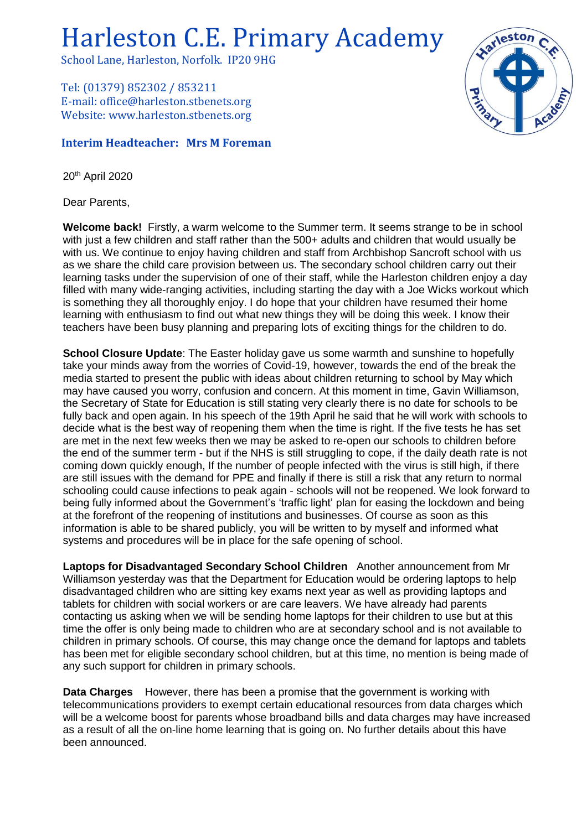Harleston C.E. Primary Academy

School Lane, Harleston, Norfolk. IP20 9HG

Tel: (01379) 852302 / 853211 E-mail: office@harleston.stbenets.org Website: www.harleston.stbenets.org

## **Interim Headteacher: Mrs M Foreman**

20th April 2020

Dear Parents,

**Welcome back!** Firstly, a warm welcome to the Summer term. It seems strange to be in school with just a few children and staff rather than the 500+ adults and children that would usually be with us. We continue to enjoy having children and staff from Archbishop Sancroft school with us as we share the child care provision between us. The secondary school children carry out their learning tasks under the supervision of one of their staff, while the Harleston children enjoy a day filled with many wide-ranging activities, including starting the day with a Joe Wicks workout which is something they all thoroughly enjoy. I do hope that your children have resumed their home learning with enthusiasm to find out what new things they will be doing this week. I know their teachers have been busy planning and preparing lots of exciting things for the children to do.

**School Closure Update**: The Easter holiday gave us some warmth and sunshine to hopefully take your minds away from the worries of Covid-19, however, towards the end of the break the media started to present the public with ideas about children returning to school by May which may have caused you worry, confusion and concern. At this moment in time, Gavin Williamson, the Secretary of State for Education is still stating very clearly there is no date for schools to be fully back and open again. In his speech of the 19th April he said that he will work with schools to decide what is the best way of reopening them when the time is right. If the five tests he has set are met in the next few weeks then we may be asked to re-open our schools to children before the end of the summer term - but if the NHS is still struggling to cope, if the daily death rate is not coming down quickly enough, If the number of people infected with the virus is still high, if there are still issues with the demand for PPE and finally if there is still a risk that any return to normal schooling could cause infections to peak again - schools will not be reopened. We look forward to being fully informed about the Government's 'traffic light' plan for easing the lockdown and being at the forefront of the reopening of institutions and businesses. Of course as soon as this information is able to be shared publicly, you will be written to by myself and informed what systems and procedures will be in place for the safe opening of school.

**Laptops for Disadvantaged Secondary School Children** Another announcement from Mr Williamson yesterday was that the Department for Education would be ordering laptops to help disadvantaged children who are sitting key exams next year as well as providing laptops and tablets for children with social workers or are care leavers. We have already had parents contacting us asking when we will be sending home laptops for their children to use but at this time the offer is only being made to children who are at secondary school and is not available to children in primary schools. Of course, this may change once the demand for laptops and tablets has been met for eligible secondary school children, but at this time, no mention is being made of any such support for children in primary schools.

**Data Charges** However, there has been a promise that the government is working with telecommunications providers to exempt certain educational resources from data charges which will be a welcome boost for parents whose broadband bills and data charges may have increased as a result of all the on-line home learning that is going on. No further details about this have been announced.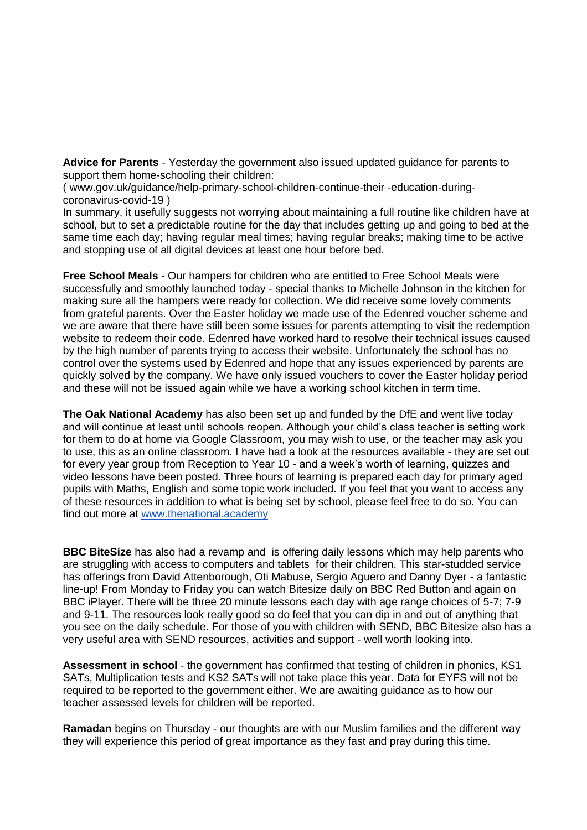**Advice for Parents** - Yesterday the government also issued updated guidance for parents to support them home-schooling their children:

( www.gov.uk/guidance/help-primary-school-children-continue-their -education-duringcoronavirus-covid-19 )

In summary, it usefully suggests not worrying about maintaining a full routine like children have at school, but to set a predictable routine for the day that includes getting up and going to bed at the same time each day; having regular meal times; having regular breaks; making time to be active and stopping use of all digital devices at least one hour before bed.

**Free School Meals** - Our hampers for children who are entitled to Free School Meals were successfully and smoothly launched today - special thanks to Michelle Johnson in the kitchen for making sure all the hampers were ready for collection. We did receive some lovely comments from grateful parents. Over the Easter holiday we made use of the Edenred voucher scheme and we are aware that there have still been some issues for parents attempting to visit the redemption website to redeem their code. Edenred have worked hard to resolve their technical issues caused by the high number of parents trying to access their website. Unfortunately the school has no control over the systems used by Edenred and hope that any issues experienced by parents are quickly solved by the company. We have only issued vouchers to cover the Easter holiday period and these will not be issued again while we have a working school kitchen in term time.

**The Oak National Academy** has also been set up and funded by the DfE and went live today and will continue at least until schools reopen. Although your child's class teacher is setting work for them to do at home via Google Classroom, you may wish to use, or the teacher may ask you to use, this as an online classroom. I have had a look at the resources available - they are set out for every year group from Reception to Year 10 - and a week's worth of learning, quizzes and video lessons have been posted. Three hours of learning is prepared each day for primary aged pupils with Maths, English and some topic work included. If you feel that you want to access any of these resources in addition to what is being set by school, please feel free to do so. You can find out more at [www.thenational.academy](http://www.thenational.academy/)

**BBC BiteSize** has also had a revamp and is offering daily lessons which may help parents who are struggling with access to computers and tablets for their children. This star-studded service has offerings from David Attenborough, Oti Mabuse, Sergio Aguero and Danny Dyer - a fantastic line-up! From Monday to Friday you can watch Bitesize daily on BBC Red Button and again on BBC iPlayer. There will be three 20 minute lessons each day with age range choices of 5-7; 7-9 and 9-11. The resources look really good so do feel that you can dip in and out of anything that you see on the daily schedule. For those of you with children with SEND, BBC Bitesize also has a very useful area with SEND resources, activities and support - well worth looking into.

**Assessment in school** - the government has confirmed that testing of children in phonics, KS1 SATs, Multiplication tests and KS2 SATs will not take place this year. Data for EYFS will not be required to be reported to the government either. We are awaiting guidance as to how our teacher assessed levels for children will be reported.

**Ramadan** begins on Thursday - our thoughts are with our Muslim families and the different way they will experience this period of great importance as they fast and pray during this time.